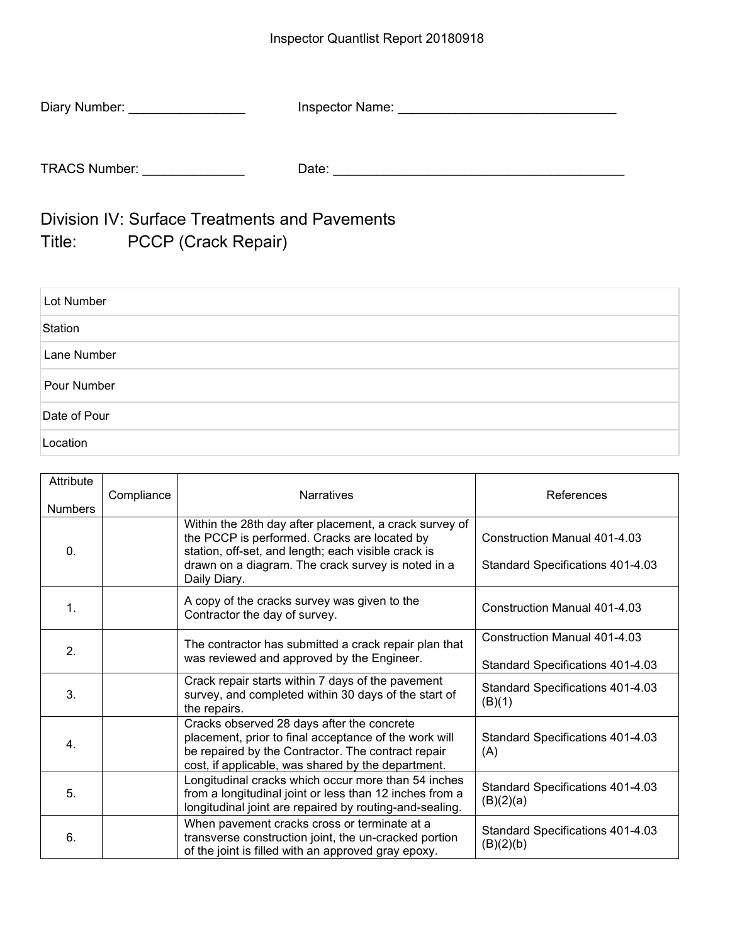| Diary Number:        | Inspector Name: |
|----------------------|-----------------|
|                      |                 |
| <b>TRACS Number:</b> | Date:           |

Division IV: Surface Treatments and Pavements Title: PCCP (Crack Repair)

| Lot Number   |  |
|--------------|--|
| Station      |  |
| Lane Number  |  |
| Pour Number  |  |
| Date of Pour |  |
| Location     |  |

| Attribute<br><b>Numbers</b> | Compliance | <b>Narratives</b>                                                                                                                                                                                                                   | References                                                              |
|-----------------------------|------------|-------------------------------------------------------------------------------------------------------------------------------------------------------------------------------------------------------------------------------------|-------------------------------------------------------------------------|
| 0.                          |            | Within the 28th day after placement, a crack survey of<br>the PCCP is performed. Cracks are located by<br>station, off-set, and length; each visible crack is<br>drawn on a diagram. The crack survey is noted in a<br>Daily Diary. | Construction Manual 401-4.03<br>Standard Specifications 401-4.03        |
| $\mathbf 1$                 |            | A copy of the cracks survey was given to the<br>Contractor the day of survey.                                                                                                                                                       | <b>Construction Manual 401-4.03</b>                                     |
| 2.                          |            | The contractor has submitted a crack repair plan that<br>was reviewed and approved by the Engineer.                                                                                                                                 | <b>Construction Manual 401-4.03</b><br>Standard Specifications 401-4.03 |
| 3.                          |            | Crack repair starts within 7 days of the pavement<br>survey, and completed within 30 days of the start of<br>the repairs.                                                                                                           | Standard Specifications 401-4.03<br>(B)(1)                              |
| $\overline{4}$ .            |            | Cracks observed 28 days after the concrete<br>placement, prior to final acceptance of the work will<br>be repaired by the Contractor. The contract repair<br>cost, if applicable, was shared by the department.                     | Standard Specifications 401-4.03<br>(A)                                 |
| 5.                          |            | Longitudinal cracks which occur more than 54 inches<br>from a longitudinal joint or less than 12 inches from a<br>longitudinal joint are repaired by routing-and-sealing.                                                           | Standard Specifications 401-4.03<br>(B)(2)(a)                           |
| 6.                          |            | When pavement cracks cross or terminate at a<br>transverse construction joint, the un-cracked portion<br>of the joint is filled with an approved gray epoxy.                                                                        | Standard Specifications 401-4.03<br>(B)(2)(b)                           |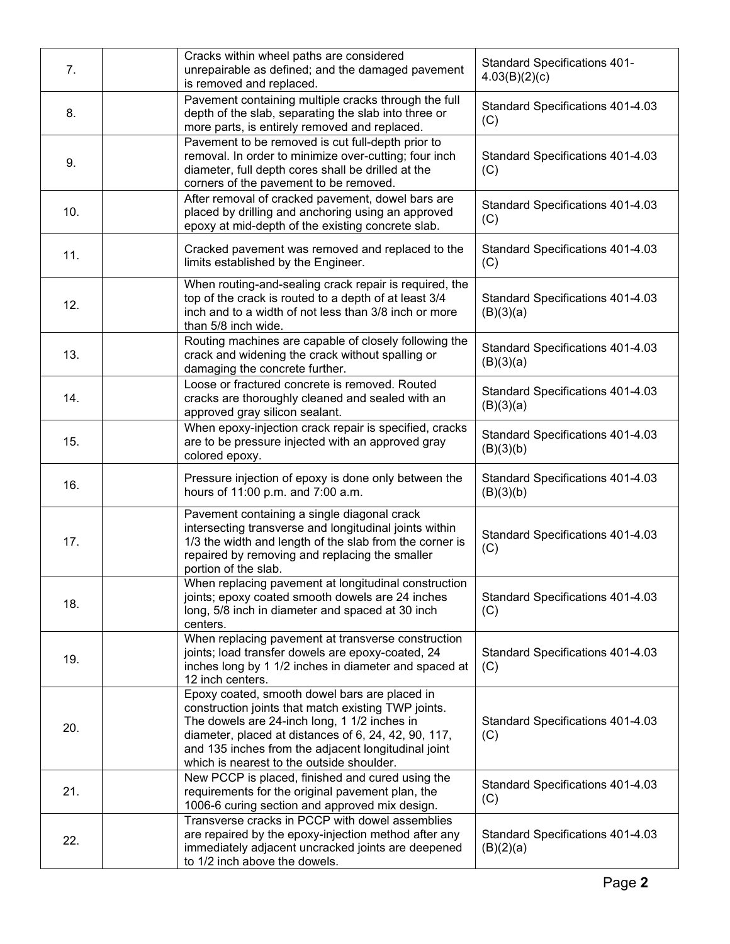| 7.  | Cracks within wheel paths are considered<br>unrepairable as defined; and the damaged pavement<br>is removed and replaced.                                                                                                                                                                                        | <b>Standard Specifications 401-</b><br>4.03(B)(2)(c) |
|-----|------------------------------------------------------------------------------------------------------------------------------------------------------------------------------------------------------------------------------------------------------------------------------------------------------------------|------------------------------------------------------|
| 8.  | Pavement containing multiple cracks through the full<br>depth of the slab, separating the slab into three or<br>more parts, is entirely removed and replaced.                                                                                                                                                    | Standard Specifications 401-4.03<br>(C)              |
| 9.  | Pavement to be removed is cut full-depth prior to<br>removal. In order to minimize over-cutting; four inch<br>diameter, full depth cores shall be drilled at the<br>corners of the pavement to be removed.                                                                                                       | Standard Specifications 401-4.03<br>(C)              |
| 10. | After removal of cracked pavement, dowel bars are<br>placed by drilling and anchoring using an approved<br>epoxy at mid-depth of the existing concrete slab.                                                                                                                                                     | Standard Specifications 401-4.03<br>(C)              |
| 11. | Cracked pavement was removed and replaced to the<br>limits established by the Engineer.                                                                                                                                                                                                                          | Standard Specifications 401-4.03<br>(C)              |
| 12. | When routing-and-sealing crack repair is required, the<br>top of the crack is routed to a depth of at least 3/4<br>inch and to a width of not less than 3/8 inch or more<br>than 5/8 inch wide.                                                                                                                  | Standard Specifications 401-4.03<br>(B)(3)(a)        |
| 13. | Routing machines are capable of closely following the<br>crack and widening the crack without spalling or<br>damaging the concrete further.                                                                                                                                                                      | Standard Specifications 401-4.03<br>(B)(3)(a)        |
| 14. | Loose or fractured concrete is removed. Routed<br>cracks are thoroughly cleaned and sealed with an<br>approved gray silicon sealant.                                                                                                                                                                             | Standard Specifications 401-4.03<br>(B)(3)(a)        |
| 15. | When epoxy-injection crack repair is specified, cracks<br>are to be pressure injected with an approved gray<br>colored epoxy.                                                                                                                                                                                    | Standard Specifications 401-4.03<br>(B)(3)(b)        |
| 16. | Pressure injection of epoxy is done only between the<br>hours of 11:00 p.m. and 7:00 a.m.                                                                                                                                                                                                                        | Standard Specifications 401-4.03<br>(B)(3)(b)        |
| 17. | Pavement containing a single diagonal crack<br>intersecting transverse and longitudinal joints within<br>1/3 the width and length of the slab from the corner is<br>repaired by removing and replacing the smaller<br>portion of the slab.                                                                       | Standard Specifications 401-4.03<br>(C)              |
| 18. | When replacing pavement at longitudinal construction<br>joints; epoxy coated smooth dowels are 24 inches<br>long, 5/8 inch in diameter and spaced at 30 inch<br>centers.                                                                                                                                         | Standard Specifications 401-4.03<br>(C)              |
| 19. | When replacing pavement at transverse construction<br>joints; load transfer dowels are epoxy-coated, 24<br>inches long by 1 1/2 inches in diameter and spaced at<br>12 inch centers.                                                                                                                             | Standard Specifications 401-4.03<br>(C)              |
| 20. | Epoxy coated, smooth dowel bars are placed in<br>construction joints that match existing TWP joints.<br>The dowels are 24-inch long, 1 1/2 inches in<br>diameter, placed at distances of 6, 24, 42, 90, 117,<br>and 135 inches from the adjacent longitudinal joint<br>which is nearest to the outside shoulder. | Standard Specifications 401-4.03<br>(C)              |
| 21. | New PCCP is placed, finished and cured using the<br>requirements for the original pavement plan, the<br>1006-6 curing section and approved mix design.                                                                                                                                                           | Standard Specifications 401-4.03<br>(C)              |
| 22. | Transverse cracks in PCCP with dowel assemblies<br>are repaired by the epoxy-injection method after any<br>immediately adjacent uncracked joints are deepened<br>to 1/2 inch above the dowels.                                                                                                                   | Standard Specifications 401-4.03<br>(B)(2)(a)        |